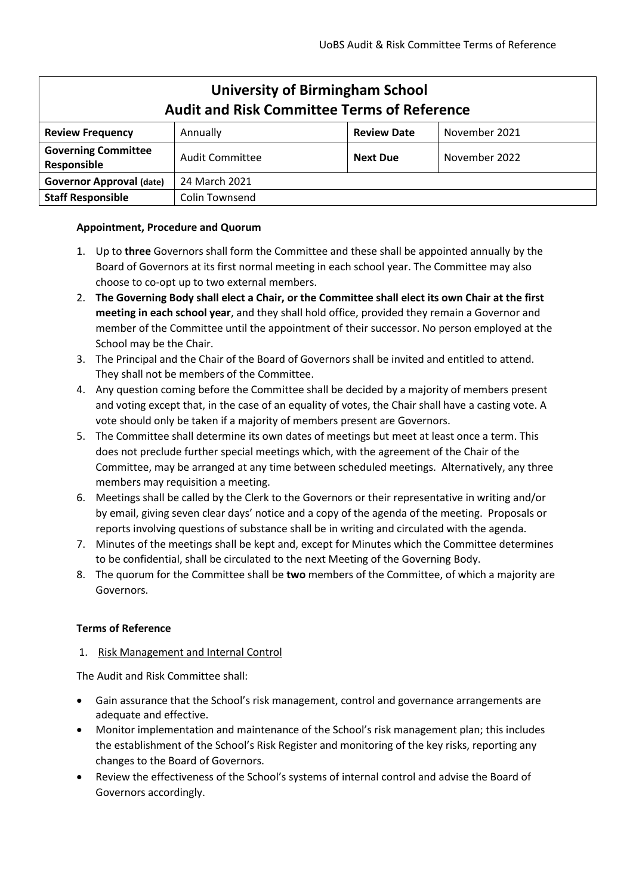| <b>University of Birmingham School</b><br><b>Audit and Risk Committee Terms of Reference</b> |                 |                    |               |
|----------------------------------------------------------------------------------------------|-----------------|--------------------|---------------|
| <b>Review Frequency</b>                                                                      | Annually        | <b>Review Date</b> | November 2021 |
| <b>Governing Committee</b><br>Responsible                                                    | Audit Committee | <b>Next Due</b>    | November 2022 |
| <b>Governor Approval (date)</b>                                                              | 24 March 2021   |                    |               |
| <b>Staff Responsible</b>                                                                     | Colin Townsend  |                    |               |

# **Appointment, Procedure and Quorum**

- 1. Up to **three** Governors shall form the Committee and these shall be appointed annually by the Board of Governors at its first normal meeting in each school year. The Committee may also choose to co-opt up to two external members.
- 2. **The Governing Body shall elect a Chair, or the Committee shall elect its own Chair at the first meeting in each school year**, and they shall hold office, provided they remain a Governor and member of the Committee until the appointment of their successor. No person employed at the School may be the Chair.
- 3. The Principal and the Chair of the Board of Governors shall be invited and entitled to attend. They shall not be members of the Committee.
- 4. Any question coming before the Committee shall be decided by a majority of members present and voting except that, in the case of an equality of votes, the Chair shall have a casting vote. A vote should only be taken if a majority of members present are Governors.
- 5. The Committee shall determine its own dates of meetings but meet at least once a term. This does not preclude further special meetings which, with the agreement of the Chair of the Committee, may be arranged at any time between scheduled meetings. Alternatively, any three members may requisition a meeting.
- 6. Meetings shall be called by the Clerk to the Governors or their representative in writing and/or by email, giving seven clear days' notice and a copy of the agenda of the meeting. Proposals or reports involving questions of substance shall be in writing and circulated with the agenda.
- 7. Minutes of the meetings shall be kept and, except for Minutes which the Committee determines to be confidential, shall be circulated to the next Meeting of the Governing Body.
- 8. The quorum for the Committee shall be **two** members of the Committee, of which a majority are Governors.

## **Terms of Reference**

## 1. Risk Management and Internal Control

The Audit and Risk Committee shall:

- Gain assurance that the School's risk management, control and governance arrangements are adequate and effective.
- Monitor implementation and maintenance of the School's risk management plan; this includes the establishment of the School's Risk Register and monitoring of the key risks, reporting any changes to the Board of Governors.
- Review the effectiveness of the School's systems of internal control and advise the Board of Governors accordingly.